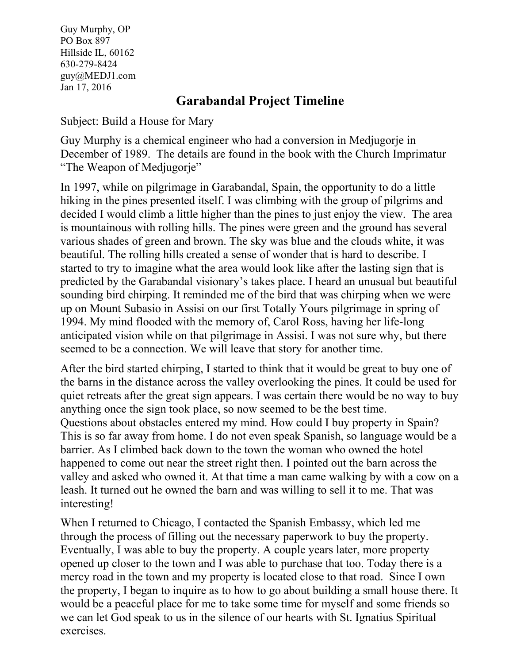Guy Murphy, OP PO Box 897 Hillside IL, 60162 630-279-8424 guy@MEDJ1.com Jan 17, 2016

## **Garabandal Project Timeline**

Subject: Build a House for Mary

Guy Murphy is a chemical engineer who had a conversion in Medjugorje in December of 1989. The details are found in the book with the Church Imprimatur "The Weapon of Medjugorje"

In 1997, while on pilgrimage in Garabandal, Spain, the opportunity to do a little hiking in the pines presented itself. I was climbing with the group of pilgrims and decided I would climb a little higher than the pines to just enjoy the view. The area is mountainous with rolling hills. The pines were green and the ground has several various shades of green and brown. The sky was blue and the clouds white, it was beautiful. The rolling hills created a sense of wonder that is hard to describe. I started to try to imagine what the area would look like after the lasting sign that is predicted by the Garabandal visionary's takes place. I heard an unusual but beautiful sounding bird chirping. It reminded me of the bird that was chirping when we were up on Mount Subasio in Assisi on our first Totally Yours pilgrimage in spring of 1994. My mind flooded with the memory of, Carol Ross, having her life-long anticipated vision while on that pilgrimage in Assisi. I was not sure why, but there seemed to be a connection. We will leave that story for another time.

After the bird started chirping, I started to think that it would be great to buy one of the barns in the distance across the valley overlooking the pines. It could be used for quiet retreats after the great sign appears. I was certain there would be no way to buy anything once the sign took place, so now seemed to be the best time. Questions about obstacles entered my mind. How could I buy property in Spain? This is so far away from home. I do not even speak Spanish, so language would be a barrier. As I climbed back down to the town the woman who owned the hotel happened to come out near the street right then. I pointed out the barn across the valley and asked who owned it. At that time a man came walking by with a cow on a leash. It turned out he owned the barn and was willing to sell it to me. That was interesting!

When I returned to Chicago, I contacted the Spanish Embassy, which led me through the process of filling out the necessary paperwork to buy the property. Eventually, I was able to buy the property. A couple years later, more property opened up closer to the town and I was able to purchase that too. Today there is a mercy road in the town and my property is located close to that road. Since I own the property, I began to inquire as to how to go about building a small house there. It would be a peaceful place for me to take some time for myself and some friends so we can let God speak to us in the silence of our hearts with St. Ignatius Spiritual exercises.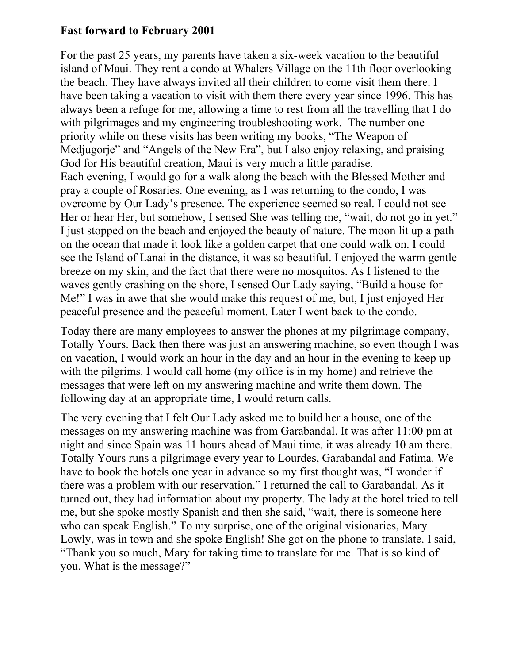## **Fast forward to February 2001**

For the past 25 years, my parents have taken a six-week vacation to the beautiful island of Maui. They rent a condo at Whalers Village on the 11th floor overlooking the beach. They have always invited all their children to come visit them there. I have been taking a vacation to visit with them there every year since 1996. This has always been a refuge for me, allowing a time to rest from all the travelling that I do with pilgrimages and my engineering troubleshooting work. The number one priority while on these visits has been writing my books, "The Weapon of Medjugorje" and "Angels of the New Era", but I also enjoy relaxing, and praising God for His beautiful creation, Maui is very much a little paradise. Each evening, I would go for a walk along the beach with the Blessed Mother and pray a couple of Rosaries. One evening, as I was returning to the condo, I was overcome by Our Lady's presence. The experience seemed so real. I could not see Her or hear Her, but somehow, I sensed She was telling me, "wait, do not go in yet." I just stopped on the beach and enjoyed the beauty of nature. The moon lit up a path on the ocean that made it look like a golden carpet that one could walk on. I could see the Island of Lanai in the distance, it was so beautiful. I enjoyed the warm gentle breeze on my skin, and the fact that there were no mosquitos. As I listened to the waves gently crashing on the shore, I sensed Our Lady saying, "Build a house for Me!" I was in awe that she would make this request of me, but, I just enjoyed Her peaceful presence and the peaceful moment. Later I went back to the condo.

Today there are many employees to answer the phones at my pilgrimage company, Totally Yours. Back then there was just an answering machine, so even though I was on vacation, I would work an hour in the day and an hour in the evening to keep up with the pilgrims. I would call home (my office is in my home) and retrieve the messages that were left on my answering machine and write them down. The following day at an appropriate time, I would return calls.

The very evening that I felt Our Lady asked me to build her a house, one of the messages on my answering machine was from Garabandal. It was after 11:00 pm at night and since Spain was 11 hours ahead of Maui time, it was already 10 am there. Totally Yours runs a pilgrimage every year to Lourdes, Garabandal and Fatima. We have to book the hotels one year in advance so my first thought was, "I wonder if there was a problem with our reservation." I returned the call to Garabandal. As it turned out, they had information about my property. The lady at the hotel tried to tell me, but she spoke mostly Spanish and then she said, "wait, there is someone here who can speak English." To my surprise, one of the original visionaries, Mary Lowly, was in town and she spoke English! She got on the phone to translate. I said, "Thank you so much, Mary for taking time to translate for me. That is so kind of you. What is the message?"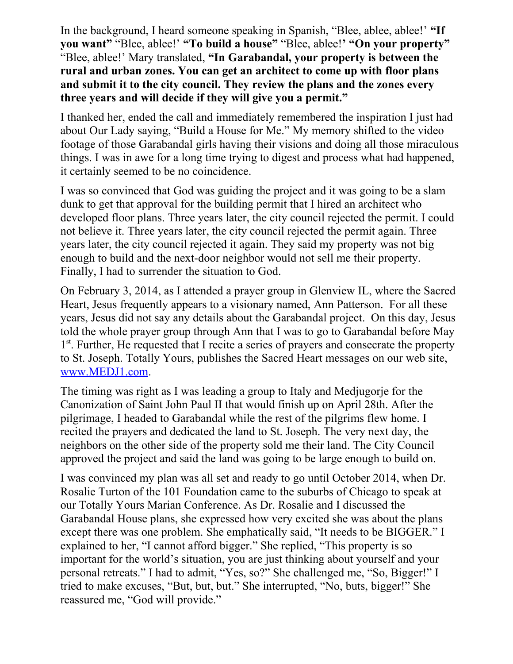In the background, I heard someone speaking in Spanish, "Blee, ablee, ablee!' **"If you want"** "Blee, ablee!' **"To build a house"** "Blee, ablee!**' "On your property"** "Blee, ablee!' Mary translated, **"In Garabandal, your property is between the rural and urban zones. You can get an architect to come up with floor plans and submit it to the city council. They review the plans and the zones every three years and will decide if they will give you a permit."**

I thanked her, ended the call and immediately remembered the inspiration I just had about Our Lady saying, "Build a House for Me." My memory shifted to the video footage of those Garabandal girls having their visions and doing all those miraculous things. I was in awe for a long time trying to digest and process what had happened, it certainly seemed to be no coincidence.

I was so convinced that God was guiding the project and it was going to be a slam dunk to get that approval for the building permit that I hired an architect who developed floor plans. Three years later, the city council rejected the permit. I could not believe it. Three years later, the city council rejected the permit again. Three years later, the city council rejected it again. They said my property was not big enough to build and the next-door neighbor would not sell me their property. Finally, I had to surrender the situation to God.

On February 3, 2014, as I attended a prayer group in Glenview IL, where the Sacred Heart, Jesus frequently appears to a visionary named, Ann Patterson. For all these years, Jesus did not say any details about the Garabandal project. On this day, Jesus told the whole prayer group through Ann that I was to go to Garabandal before May 1<sup>st</sup>. Further, He requested that I recite a series of prayers and consecrate the property to St. Joseph. Totally Yours, publishes the Sacred Heart messages on our web site, [www.MEDJ1.com.](http://www.medj1.com/)

The timing was right as I was leading a group to Italy and Medjugorje for the Canonization of Saint John Paul II that would finish up on April 28th. After the pilgrimage, I headed to Garabandal while the rest of the pilgrims flew home. I recited the prayers and dedicated the land to St. Joseph. The very next day, the neighbors on the other side of the property sold me their land. The City Council approved the project and said the land was going to be large enough to build on.

I was convinced my plan was all set and ready to go until October 2014, when Dr. Rosalie Turton of the 101 Foundation came to the suburbs of Chicago to speak at our Totally Yours Marian Conference. As Dr. Rosalie and I discussed the Garabandal House plans, she expressed how very excited she was about the plans except there was one problem. She emphatically said, "It needs to be BIGGER." I explained to her, "I cannot afford bigger." She replied, "This property is so important for the world's situation, you are just thinking about yourself and your personal retreats." I had to admit, "Yes, so?" She challenged me, "So, Bigger!" I tried to make excuses, "But, but, but." She interrupted, "No, buts, bigger!" She reassured me, "God will provide."